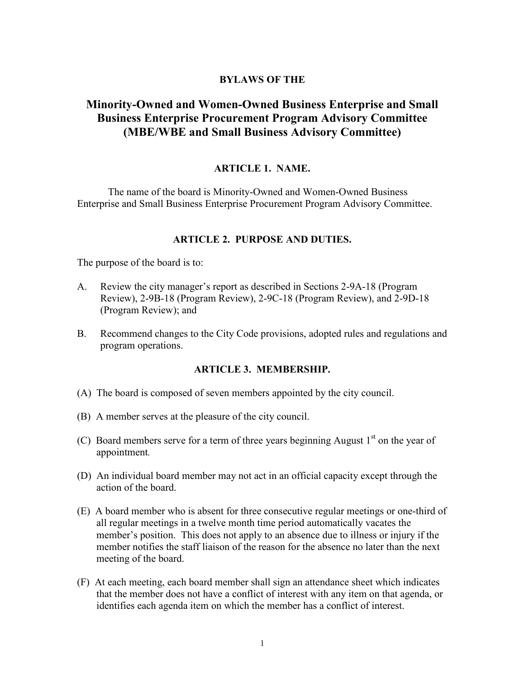## BYLAWS OF THE

# Minority-Owned and Women-Owned Business Enterprise and Small Business Enterprise Procurement Program Advisory Committee (MBE/WBE and Small Business Advisory Committee)

### ARTICLE 1. NAME.

The name of the board is Minority-Owned and Women-Owned Business Enterprise and Small Business Enterprise Procurement Program Advisory Committee.

### ARTICLE 2. PURPOSE AND DUTIES.

The purpose of the board is to:

- A. Review the city manager's report as described in Sections 2-9A-18 (Program Review), 2-9B-18 (Program Review), 2-9C-18 (Program Review), and 2-9D-18 (Program Review); and
- B. Recommend changes to the City Code provisions, adopted rules and regulations and program operations.

### ARTICLE 3. MEMBERSHIP.

- (A) The board is composed of seven members appointed by the city council.
- (B) A member serves at the pleasure of the city council.
- (C) Board members serve for a term of three years beginning August  $1<sup>st</sup>$  on the year of appointment.
- (D) An individual board member may not act in an official capacity except through the action of the board.
- (E) A board member who is absent for three consecutive regular meetings or one-third of all regular meetings in a twelve month time period automatically vacates the member's position. This does not apply to an absence due to illness or injury if the member notifies the staff liaison of the reason for the absence no later than the next meeting of the board.
- (F) At each meeting, each board member shall sign an attendance sheet which indicates that the member does not have a conflict of interest with any item on that agenda, or identifies each agenda item on which the member has a conflict of interest.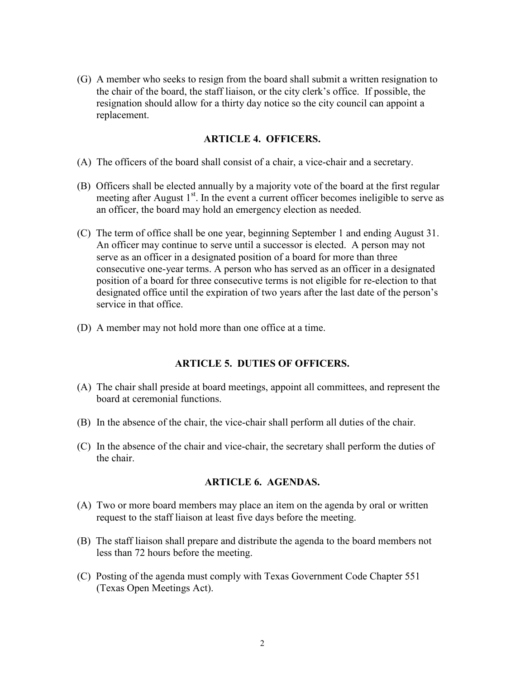(G) A member who seeks to resign from the board shall submit a written resignation to the chair of the board, the staff liaison, or the city clerk's office. If possible, the resignation should allow for a thirty day notice so the city council can appoint a replacement.

## ARTICLE 4. OFFICERS.

- (A) The officers of the board shall consist of a chair, a vice-chair and a secretary.
- (B) Officers shall be elected annually by a majority vote of the board at the first regular meeting after August  $1<sup>st</sup>$ . In the event a current officer becomes ineligible to serve as an officer, the board may hold an emergency election as needed.
- (C) The term of office shall be one year, beginning September 1 and ending August 31. An officer may continue to serve until a successor is elected. A person may not serve as an officer in a designated position of a board for more than three consecutive one-year terms. A person who has served as an officer in a designated position of a board for three consecutive terms is not eligible for re-election to that designated office until the expiration of two years after the last date of the person's service in that office.
- (D) A member may not hold more than one office at a time.

## ARTICLE 5. DUTIES OF OFFICERS.

- (A) The chair shall preside at board meetings, appoint all committees, and represent the board at ceremonial functions.
- (B) In the absence of the chair, the vice-chair shall perform all duties of the chair.
- (C) In the absence of the chair and vice-chair, the secretary shall perform the duties of the chair.

## ARTICLE 6. AGENDAS.

- (A) Two or more board members may place an item on the agenda by oral or written request to the staff liaison at least five days before the meeting.
- (B) The staff liaison shall prepare and distribute the agenda to the board members not less than 72 hours before the meeting.
- (C) Posting of the agenda must comply with Texas Government Code Chapter 551 (Texas Open Meetings Act).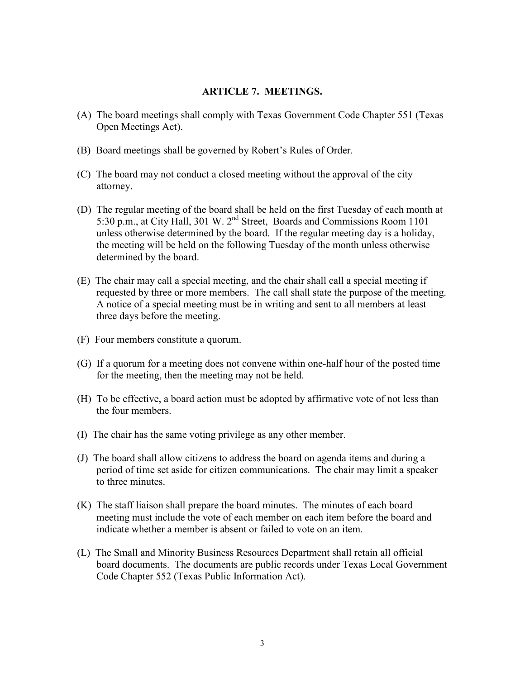## ARTICLE 7. MEETINGS.

- (A) The board meetings shall comply with Texas Government Code Chapter 551 (Texas Open Meetings Act).
- (B) Board meetings shall be governed by Robert's Rules of Order.
- (C) The board may not conduct a closed meeting without the approval of the city attorney.
- (D) The regular meeting of the board shall be held on the first Tuesday of each month at 5:30 p.m., at City Hall, 301 W. 2<sup>nd</sup> Street, Boards and Commissions Room 1101 unless otherwise determined by the board. If the regular meeting day is a holiday, the meeting will be held on the following Tuesday of the month unless otherwise determined by the board.
- (E) The chair may call a special meeting, and the chair shall call a special meeting if requested by three or more members. The call shall state the purpose of the meeting. A notice of a special meeting must be in writing and sent to all members at least three days before the meeting.
- (F) Four members constitute a quorum.
- (G) If a quorum for a meeting does not convene within one-half hour of the posted time for the meeting, then the meeting may not be held.
- (H) To be effective, a board action must be adopted by affirmative vote of not less than the four members.
- (I) The chair has the same voting privilege as any other member.
- (J) The board shall allow citizens to address the board on agenda items and during a period of time set aside for citizen communications. The chair may limit a speaker to three minutes.
- (K) The staff liaison shall prepare the board minutes. The minutes of each board meeting must include the vote of each member on each item before the board and indicate whether a member is absent or failed to vote on an item.
- (L) The Small and Minority Business Resources Department shall retain all official board documents. The documents are public records under Texas Local Government Code Chapter 552 (Texas Public Information Act).